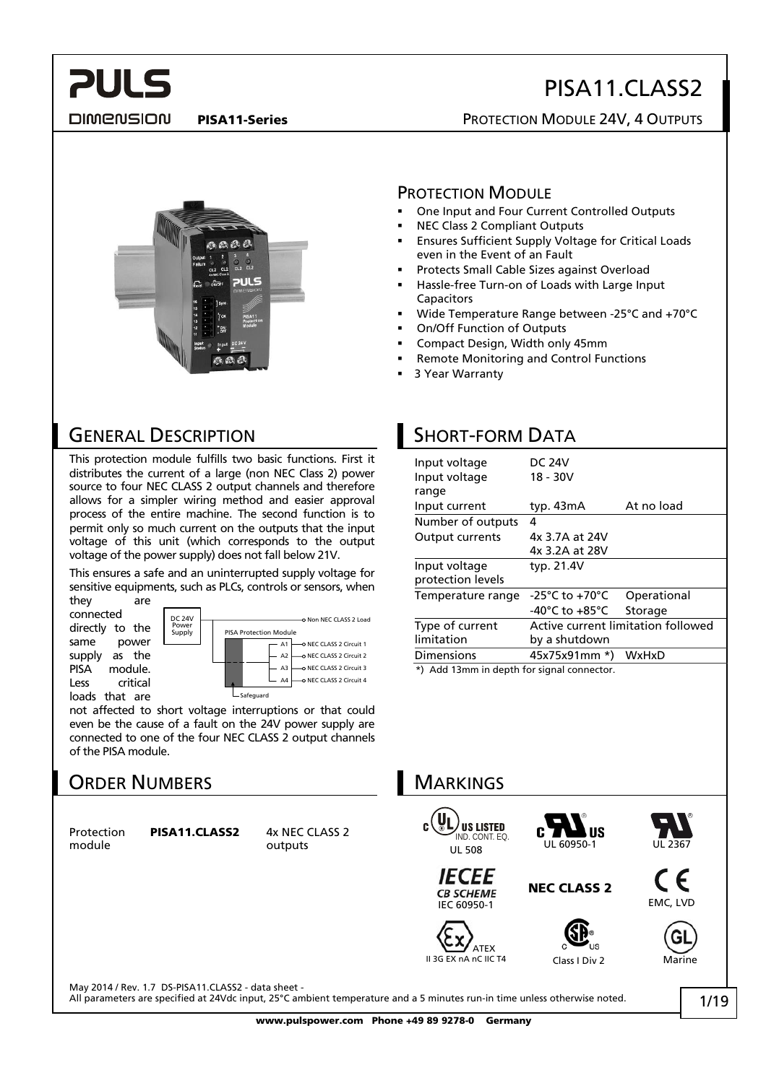DIMENSION

**PULS** 

#### PISA11-Series **PISA11-Series** PROTECTION MODULE 24V, 4 OUTPUTS



#### PROTECTION MODULE

- One Input and Four Current Controlled Outputs
- NEC Class 2 Compliant Outputs
- Ensures Sufficient Supply Voltage for Critical Loads even in the Event of an Fault
- Protects Small Cable Sizes against Overload
- Hassle-free Turn-on of Loads with Large Input Capacitors
- Wide Temperature Range between -25°C and +70°C
- On/Off Function of Outputs
- Compact Design, Width only 45mm
- Remote Monitoring and Control Functions
- 3 Year Warranty

### GENERAL DESCRIPTION

This protection module fulfills two basic functions. First it distributes the current of a large (non NEC Class 2) power source to four NEC CLASS 2 output channels and therefore allows for a simpler wiring method and easier approval process of the entire machine. The second function is to permit only so much current on the outputs that the input voltage of this unit (which corresponds to the output voltage of the power supply) does not fall below 21V.

This ensures a safe and an uninterrupted supply voltage for sensitive equipments, such as PLCs, controls or sensors, when

they are connected directly to the same power supply as the PISA module. Less critical loads that are



not affected to short voltage interruptions or that could even be the cause of a fault on the 24V power supply are connected to one of the four NEC CLASS 2 output channels of the PISA module.

## ORDER NUMBERS

Protection **PISA11.CLASS2** 4x NEC CLASS 2 module outputs

May 2014 / Rev. 1.7 DS-PISA11.CLASS2 - data sheet -

## SHORT-FORM DATA

| Input voltage                              | <b>DC 24V</b>                      |                                    |  |  |
|--------------------------------------------|------------------------------------|------------------------------------|--|--|
| Input voltage                              | $18 - 30V$                         |                                    |  |  |
| range                                      |                                    |                                    |  |  |
| Input current                              | typ. 43mA                          | At no load                         |  |  |
| Number of outputs                          | 4                                  |                                    |  |  |
| <b>Output currents</b>                     | 4x 3.7A at 24V                     |                                    |  |  |
|                                            | 4x 3.2A at 28V                     |                                    |  |  |
| Input voltage                              | typ. 21.4V                         |                                    |  |  |
| protection levels                          |                                    |                                    |  |  |
| Temperature range                          | $-25^{\circ}$ C to $+70^{\circ}$ C | Operational                        |  |  |
|                                            | -40°C to $+85$ °C                  | Storage                            |  |  |
| Type of current                            |                                    | Active current limitation followed |  |  |
| limitation                                 | by a shutdown                      |                                    |  |  |
| Dimensions                                 | 45x75x91mm *)                      | <b>WxHxD</b>                       |  |  |
| *) Add 13mm in depth for signal connector. |                                    |                                    |  |  |

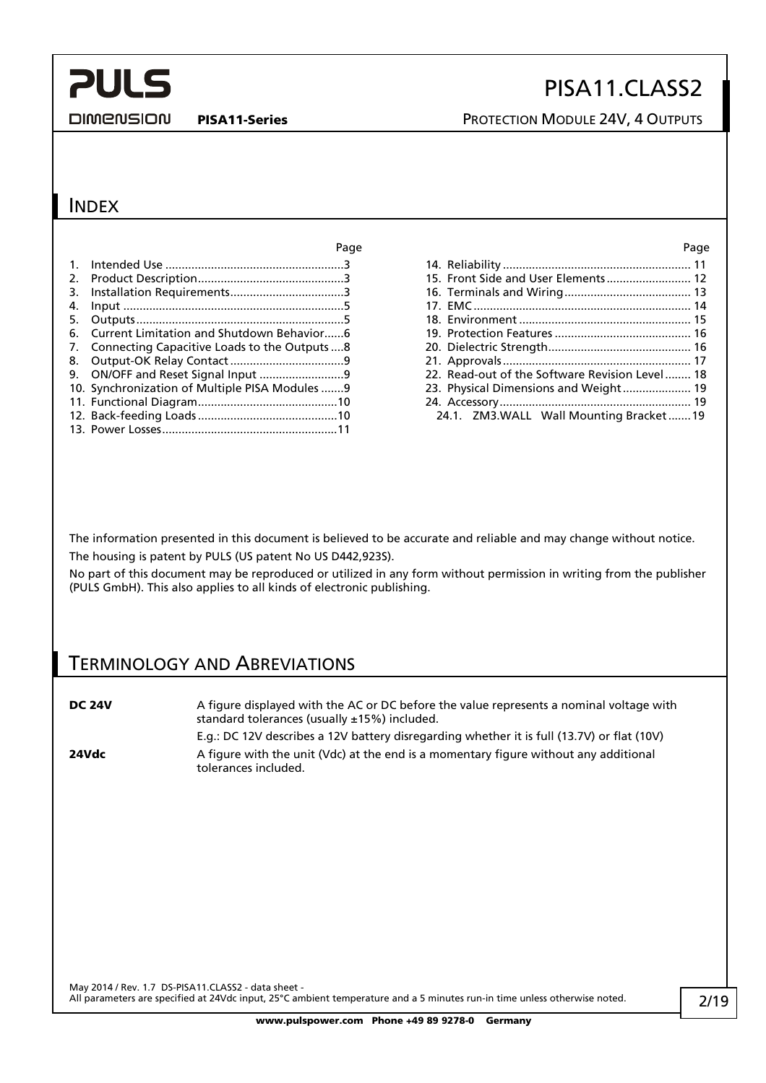**DIMENSION** 

## PISA11.CLASS2

PISA11-Series **PISA11-Series** PROTECTION MODULE 24V, 4 OUTPUTS

### INDEX

|    |                                                 | Page |                                                | Page |
|----|-------------------------------------------------|------|------------------------------------------------|------|
|    |                                                 |      |                                                |      |
|    |                                                 |      | 15. Front Side and User Elements 12            |      |
| 3. |                                                 |      |                                                |      |
|    |                                                 |      |                                                |      |
|    |                                                 |      |                                                |      |
|    | 6. Current Limitation and Shutdown Behavior6    |      |                                                |      |
|    | 7. Connecting Capacitive Loads to the Outputs 8 |      |                                                |      |
|    |                                                 |      |                                                |      |
|    |                                                 |      | 22. Read-out of the Software Revision Level 18 |      |
|    | 10. Synchronization of Multiple PISA Modules 9  |      | 23. Physical Dimensions and Weight 19          |      |
|    |                                                 |      |                                                |      |
|    |                                                 |      | 24.1. ZM3. WALL Wall Mounting Bracket 19       |      |
|    |                                                 |      |                                                |      |

| 15. Front Side and User Elements 12            |  |
|------------------------------------------------|--|
|                                                |  |
|                                                |  |
|                                                |  |
|                                                |  |
|                                                |  |
|                                                |  |
| 22. Read-out of the Software Revision Level 18 |  |
| 23. Physical Dimensions and Weight 19          |  |
|                                                |  |
| 24.1. ZM3. WALL Wall Mounting Bracket19        |  |
|                                                |  |

The information presented in this document is believed to be accurate and reliable and may change without notice. The housing is patent by PULS (US patent No US D442,923S).

No part of this document may be reproduced or utilized in any form without permission in writing from the publisher (PULS GmbH). This also applies to all kinds of electronic publishing.

### TERMINOLOGY AND ABREVIATIONS

| <b>DC 24V</b> | A figure displayed with the AC or DC before the value represents a nominal voltage with<br>standard tolerances (usually ±15%) included. |
|---------------|-----------------------------------------------------------------------------------------------------------------------------------------|
|               | E.g.: DC 12V describes a 12V battery disregarding whether it is full (13.7V) or flat (10V)                                              |
| 24Vdc         | A figure with the unit (Vdc) at the end is a momentary figure without any additional<br>tolerances included.                            |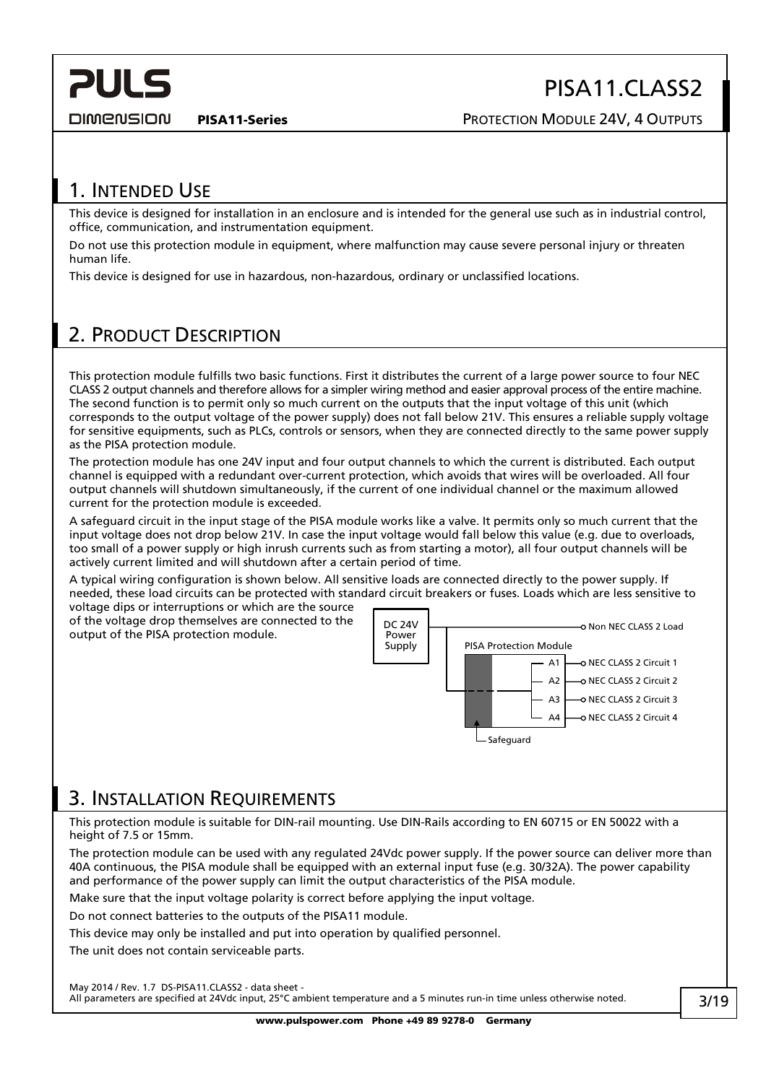<span id="page-2-0"></span>**DIMENSION** 

PISA11.CLASS2

PISA11-Series **PISA11-Series** PROTECTION MODULE 24V, 4 OUTPUTS

## 1. INTENDED USE

This device is designed for installation in an enclosure and is intended for the general use such as in industrial control, office, communication, and instrumentation equipment.

Do not use this protection module in equipment, where malfunction may cause severe personal injury or threaten human life.

This device is designed for use in hazardous, non-hazardous, ordinary or unclassified locations.

## 2. PRODUCT DESCRIPTION

This protection module fulfills two basic functions. First it distributes the current of a large power source to four NEC CLASS 2 output channels and therefore allows for a simpler wiring method and easier approval process of the entire machine. The second function is to permit only so much current on the outputs that the input voltage of this unit (which corresponds to the output voltage of the power supply) does not fall below 21V. This ensures a reliable supply voltage for sensitive equipments, such as PLCs, controls or sensors, when they are connected directly to the same power supply as the PISA protection module.

The protection module has one 24V input and four output channels to which the current is distributed. Each output channel is equipped with a redundant over-current protection, which avoids that wires will be overloaded. All four output channels will shutdown simultaneously, if the current of one individual channel or the maximum allowed current for the protection module is exceeded.

A safeguard circuit in the input stage of the PISA module works like a valve. It permits only so much current that the input voltage does not drop below 21V. In case the input voltage would fall below this value (e.g. due to overloads, too small of a power supply or high inrush currents such as from starting a motor), all four output channels will be actively current limited and will shutdown after a certain period of time.

A typical wiring configuration is shown below. All sensitive loads are connected directly to the power supply. If needed, these load circuits can be protected with standard circuit breakers or fuses. Loads which are less sensitive to

voltage dips or interruptions or which are the source of the voltage drop themselves are connected to the output of the PISA protection module.



### <span id="page-2-1"></span>3. INSTALLATION REQUIREMENTS

This protection module is suitable for DIN-rail mounting. Use DIN-Rails according to EN 60715 or EN 50022 with a height of 7.5 or 15mm.

The protection module can be used with any regulated 24Vdc power supply. If the power source can deliver more than 40A continuous, the PISA module shall be equipped with an external input fuse (e.g. 30/32A). The power capability and performance of the power supply can limit the output characteristics of the PISA module.

Make sure that the input voltage polarity is correct before applying the input voltage.

Do not connect batteries to the outputs of the PISA11 module.

This device may only be installed and put into operation by qualified personnel.

The unit does not contain serviceable parts.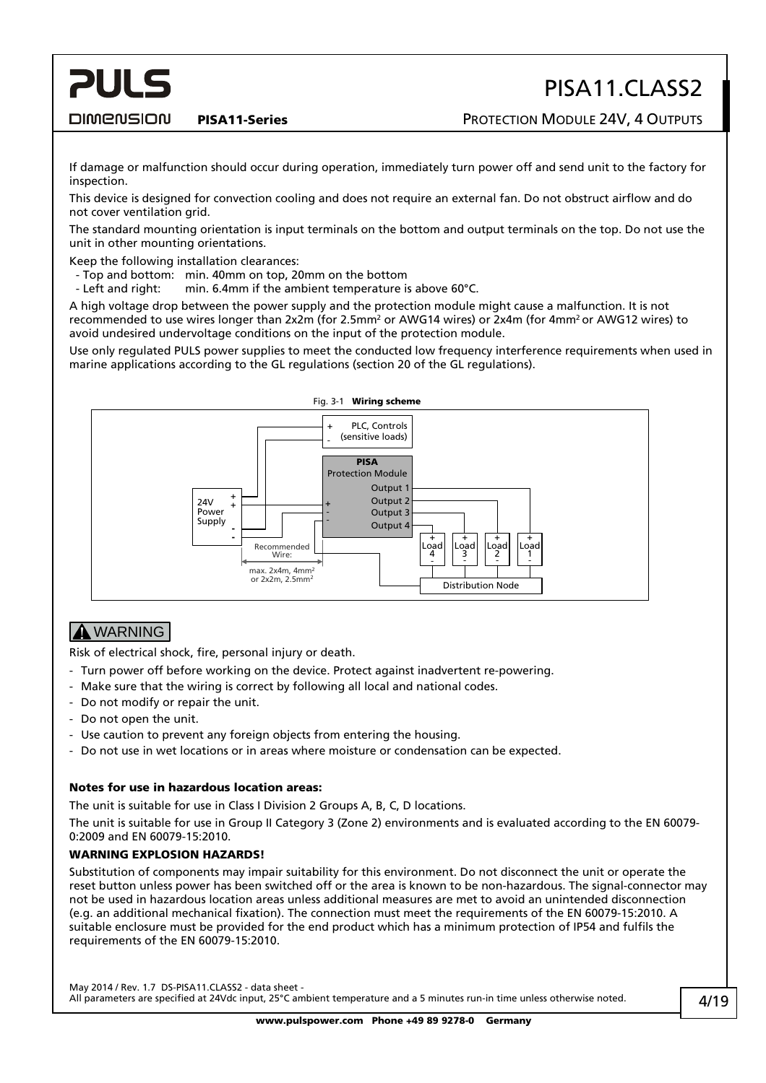#### **DIMENSION**

**PULS** 

PISA11-Series **PISA11-Series** PROTECTION MODULE 24V, 4 OUTPUTS

If damage or malfunction should occur during operation, immediately turn power off and send unit to the factory for inspection.

This device is designed for convection cooling and does not require an external fan. Do not obstruct airflow and do not cover ventilation grid.

The standard mounting orientation is input terminals on the bottom and output terminals on the top. Do not use the unit in other mounting orientations.

Keep the following installation clearances:

- Top and bottom: min. 40mm on top, 20mm on the bottom
- Left and right: min. 6.4mm if the ambient temperature is above 60°C.

A high voltage drop between the power supply and the protection module might cause a malfunction. It is not recommended to use wires longer than 2x2m (for 2.5mm<sup>2</sup> or AWG14 wires) or 2x4m (for 4mm<sup>2</sup> or AWG12 wires) to avoid undesired undervoltage conditions on the input of the protection module.

Use only regulated PULS power supplies to meet the conducted low frequency interference requirements when used in marine applications according to the GL regulations (section 20 of the GL regulations).



#### **A** WARNING

Risk of electrical shock, fire, personal injury or death.

- Turn power off before working on the device. Protect against inadvertent re-powering.
- Make sure that the wiring is correct by following all local and national codes.
- Do not modify or repair the unit.
- Do not open the unit.
- Use caution to prevent any foreign objects from entering the housing.
- Do not use in wet locations or in areas where moisture or condensation can be expected.

#### Notes for use in hazardous location areas:

The unit is suitable for use in Class I Division 2 Groups A, B, C, D locations.

The unit is suitable for use in Group II Category 3 (Zone 2) environments and is evaluated according to the EN 60079- 0:2009 and EN 60079-15:2010.

#### WARNING EXPLOSION HAZARDS!

Substitution of components may impair suitability for this environment. Do not disconnect the unit or operate the reset button unless power has been switched off or the area is known to be non-hazardous. The signal-connector may not be used in hazardous location areas unless additional measures are met to avoid an unintended disconnection (e.g. an additional mechanical fixation). The connection must meet the requirements of the EN 60079-15:2010. A suitable enclosure must be provided for the end product which has a minimum protection of IP54 and fulfils the requirements of the EN 60079-15:2010.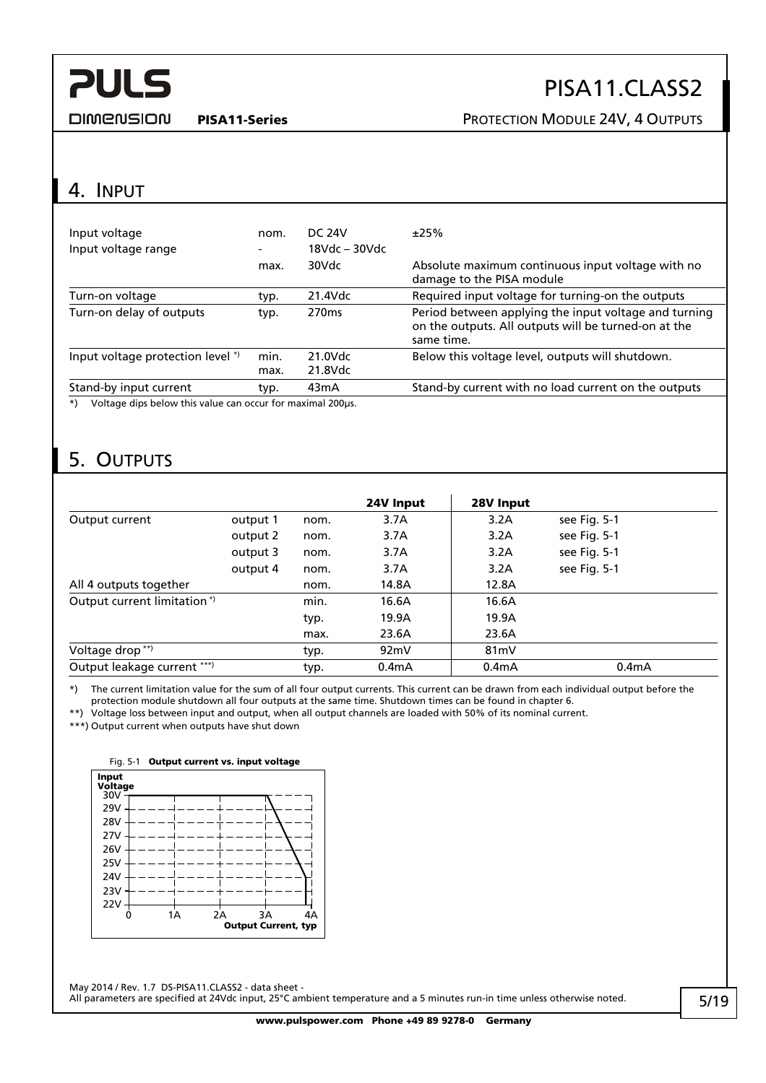## PISA11.CLASS2

<span id="page-4-0"></span>**DIMENSION** 

#### PISA11-Series **PISA11-Series** PROTECTION MODULE 24V, 4 OUTPUTS

### 4. INPUT

| Input voltage<br>Input voltage range                                 | nom.<br>-    | DC 24V<br>$18Vdc - 30Vdc$ | ±25%                                                                                                                        |
|----------------------------------------------------------------------|--------------|---------------------------|-----------------------------------------------------------------------------------------------------------------------------|
|                                                                      | max.         | 30Vdc                     | Absolute maximum continuous input voltage with no<br>damage to the PISA module                                              |
| Turn-on voltage                                                      | typ.         | 21.4Vdc                   | Required input voltage for turning-on the outputs                                                                           |
| Turn-on delay of outputs                                             | typ.         | 270 <sub>ms</sub>         | Period between applying the input voltage and turning<br>on the outputs. All outputs will be turned-on at the<br>same time. |
| Input voltage protection level *)                                    | min.<br>max. | 21.0Vdc<br>21.8Vdc        | Below this voltage level, outputs will shutdown.                                                                            |
| Stand-by input current                                               | typ.         | 43 <sub>m</sub> A         | Stand-by current with no load current on the outputs                                                                        |
| Voltage dips below this value can occur for maximal 200µs.<br>$^{*}$ |              |                           |                                                                                                                             |

## 5. OUTPUTS

|                             |          |      | 24V Input          | 28V Input          |                    |
|-----------------------------|----------|------|--------------------|--------------------|--------------------|
| Output current              | output 1 | nom. | 3.7A               | 3.2A               | see Fig. 5-1       |
|                             | output 2 | nom. | 3.7A               | 3.2A               | see Fig. 5-1       |
|                             | output 3 | nom. | 3.7A               | 3.2A               | see Fig. 5-1       |
|                             | output 4 | nom. | 3.7A               | 3.2A               | see Fig. 5-1       |
| All 4 outputs together      |          | nom. | 14.8A              | 12.8A              |                    |
| Output current limitation*) |          | min. | 16.6A              | 16.6A              |                    |
|                             |          | typ. | 19.9A              | 19.9A              |                    |
|                             |          | max. | 23.6A              | 23.6A              |                    |
| Voltage drop <sup>**)</sup> |          | typ. | 92mV               | 81 <sub>m</sub> V  |                    |
| Output leakage current ***) |          | typ. | 0.4 <sub>m</sub> A | 0.4 <sub>m</sub> A | 0.4 <sub>m</sub> A |

\*) The current limitation value for the sum of all four output currents. This current can be drawn from each individual output before the protection module shutdown all four outputs at the same time. Shutdown times can be found in chapter [6.](#page-5-1)

\*\*) Voltage loss between input and output, when all output channels are loaded with 50% of its nominal current.

<span id="page-4-1"></span>\*\*\*) Output current when outputs have shut down



Fig. 5-1 Output current vs. input voltage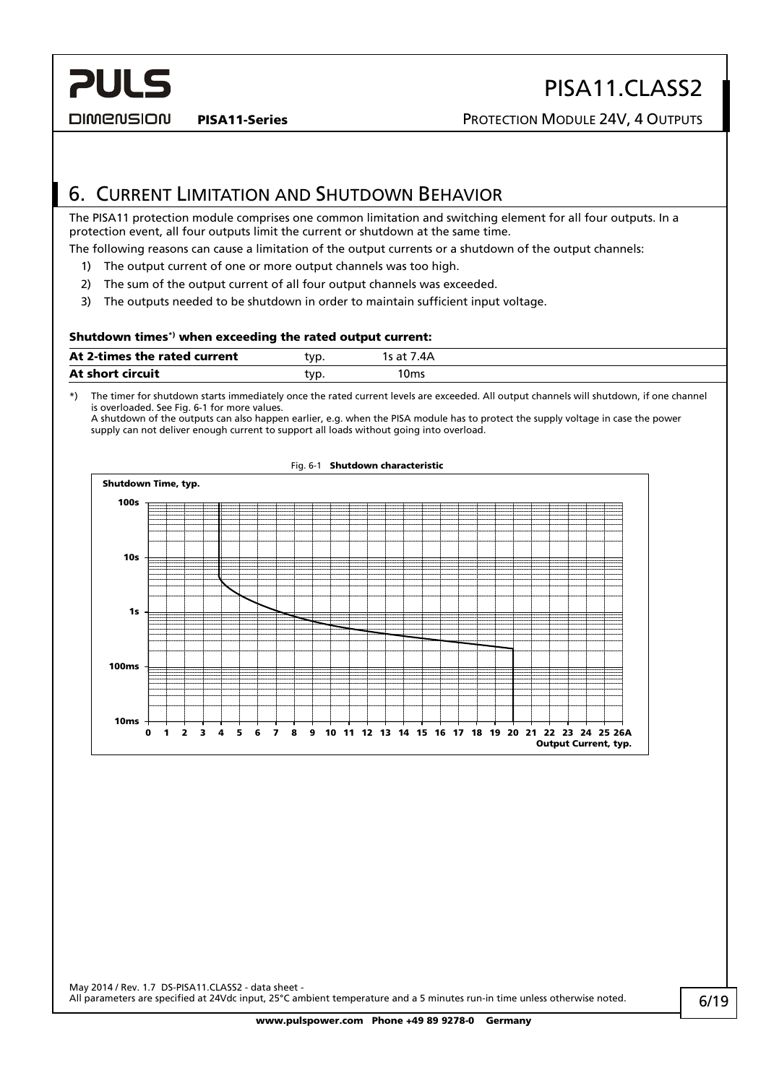DIMENSION

<span id="page-5-0"></span>**PULS** 

PISA11-Series **PISA11-Series** PROTECTION MODULE 24V, 4 OUTPUTS

## <span id="page-5-1"></span>6. CURRENT LIMITATION AND SHUTDOWN BEHAVIOR

The PISA11 protection module comprises one common limitation and switching element for all four outputs. In a protection event, all four outputs limit the current or shutdown at the same time.

The following reasons can cause a limitation of the output currents or a shutdown of the output channels:

- 1) The output current of one or more output channels was too high.
- 2) The sum of the output current of all four output channels was exceeded.
- 3) The outputs needed to be shutdown in order to maintain sufficient input voltage.

#### Shutdown times\*) when exceeding the rated output current:

\*) The timer for shutdown starts immediately once the rated current levels are exceeded. All output channels will shutdown, if one channel is overloaded. See [Fig. 6-1](#page-5-2) for more values.

A shutdown of the outputs can also happen earlier, e.g. when the PISA module has to protect the supply voltage in case the power supply can not deliver enough current to support all loads without going into overload.

<span id="page-5-2"></span>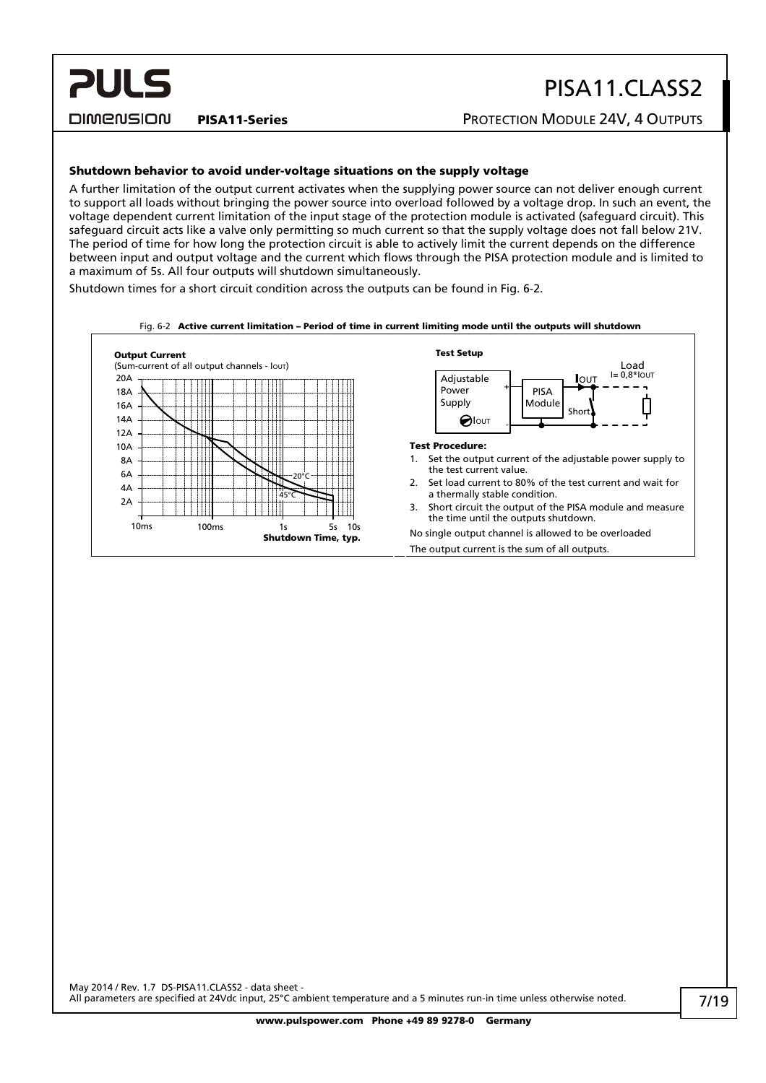DIMENSION

**PULS** 

#### PISA11-Series **PISA11-Series** PROTECTION MODULE 24V, 4 OUTPUTS

#### Shutdown behavior to avoid under-voltage situations on the supply voltage

A further limitation of the output current activates when the supplying power source can not deliver enough current to support all loads without bringing the power source into overload followed by a voltage drop. In such an event, the voltage dependent current limitation of the input stage of the protection module is activated (safeguard circuit). This safeguard circuit acts like a valve only permitting so much current so that the supply voltage does not fall below 21V. The period of time for how long the protection circuit is able to actively limit the current depends on the difference between input and output voltage and the current which flows through the PISA protection module and is limited to a maximum of 5s. All four outputs will shutdown simultaneously.

Shutdown times for a short circuit condition across the outputs can be found in [Fig. 6-2](#page-6-0).

<span id="page-6-0"></span>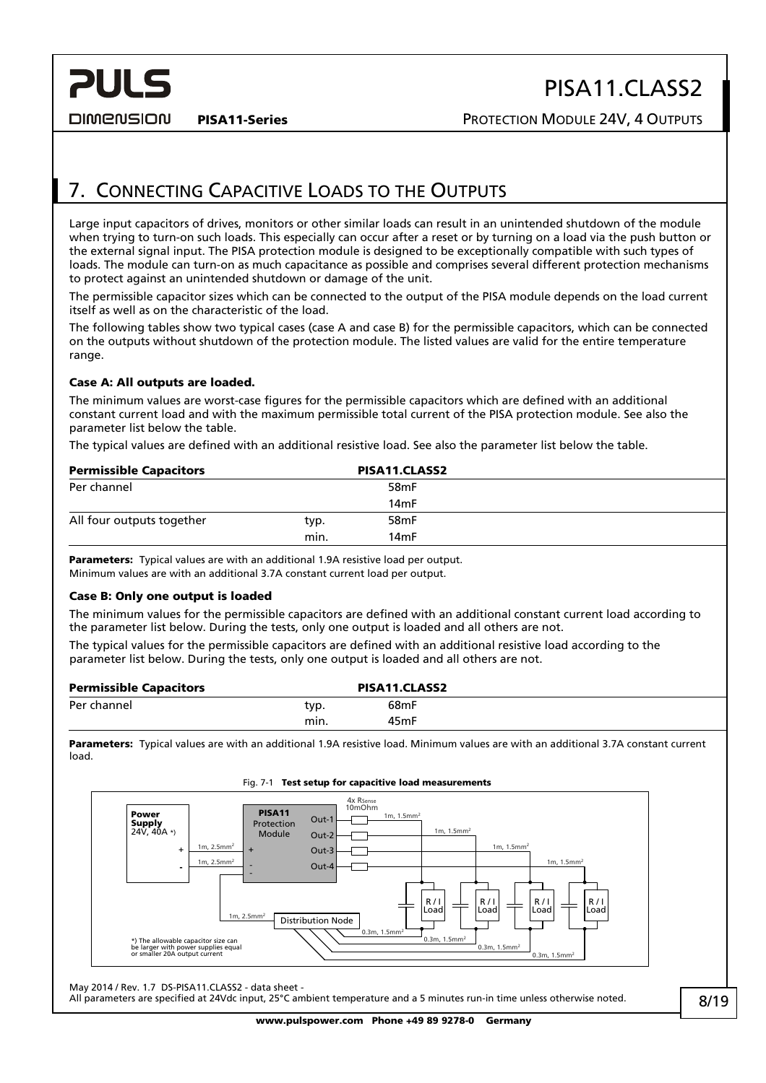**DIMENSION** 

<span id="page-7-0"></span>**PULS** 

## 7. CONNECTING CAPACITIVE LOADS TO THE OUTPUTS

Large input capacitors of drives, monitors or other similar loads can result in an unintended shutdown of the module when trying to turn-on such loads. This especially can occur after a reset or by turning on a load via the push button or the external signal input. The PISA protection module is designed to be exceptionally compatible with such types of loads. The module can turn-on as much capacitance as possible and comprises several different protection mechanisms to protect against an unintended shutdown or damage of the unit.

The permissible capacitor sizes which can be connected to the output of the PISA module depends on the load current itself as well as on the characteristic of the load.

The following tables show two typical cases (case A and case B) for the permissible capacitors, which can be connected on the outputs without shutdown of the protection module. The listed values are valid for the entire temperature range.

#### Case A: All outputs are loaded.

The minimum values are worst-case figures for the permissible capacitors which are defined with an additional constant current load and with the maximum permissible total current of the PISA protection module. See also the parameter list below the table.

The typical values are defined with an additional resistive load. See also the parameter list below the table.

| <b>Permissible Capacitors</b> |      | PISA11.CLASS2     |  |
|-------------------------------|------|-------------------|--|
| Per channel                   |      | 58 <sub>m</sub> F |  |
|                               |      | 14 <sub>m</sub> F |  |
| All four outputs together     | typ. | 58 <sub>m</sub> F |  |
|                               | min. | 14 <sub>m</sub> F |  |

**Parameters:** Typical values are with an additional 1.9A resistive load per output. Minimum values are with an additional 3.7A constant current load per output.

#### Case B: Only one output is loaded

The minimum values for the permissible capacitors are defined with an additional constant current load according to the parameter list below. During the tests, only one output is loaded and all others are not.

The typical values for the permissible capacitors are defined with an additional resistive load according to the parameter list below. During the tests, only one output is loaded and all others are not.

| <b>Permissible Capacitors</b> |      | PISA11.CLASS2     |  |
|-------------------------------|------|-------------------|--|
| Per channel                   | typ. | 68mF              |  |
|                               | min. | 45 <sub>m</sub> F |  |

Parameters: Typical values are with an additional 1.9A resistive load. Minimum values are with an additional 3.7A constant current load.



Fig. 7-1 Test setup for capacitive load measurements

May 2014 / Rev. 1.7 DS-PISA11.CLASS2 - data sheet -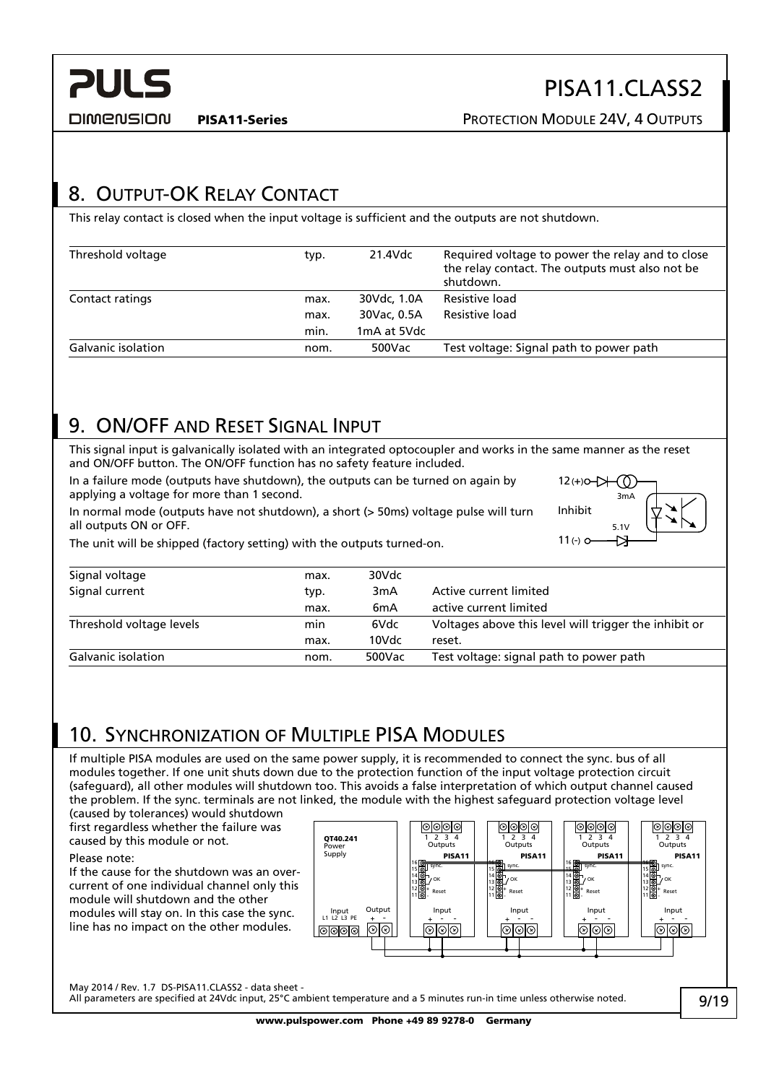<span id="page-8-0"></span>

DIMENSION

PISA11-Series **PISA11-Series** PROTECTION MODULE 24V, 4 OUTPUTS

 $12(+)0 - \cancel{\smash{\rightarrow}} + \cancel{\smash{\rightarrow}} - \cancel{\smash{\rightarrow}}$ 

Inhibit

 $11(-)$  0

5.1V

Ð

3mA

## <span id="page-8-2"></span>8. OUTPUT-OK RELAY CONTACT

This relay contact is closed when the input voltage is sufficient and the outputs are not shutdown.

| Threshold voltage         | typ. | 21.4Vdc     | Required voltage to power the relay and to close<br>the relay contact. The outputs must also not be<br>shutdown. |
|---------------------------|------|-------------|------------------------------------------------------------------------------------------------------------------|
| Contact ratings           | max. | 30Vdc, 1.0A | Resistive load                                                                                                   |
|                           | max. | 30Vac. 0.5A | Resistive load                                                                                                   |
|                           | min. | 1mA at 5Vdc |                                                                                                                  |
| <b>Galvanic isolation</b> | nom. | 500Vac      | Test voltage: Signal path to power path                                                                          |

## <span id="page-8-3"></span>9. ON/OFF AND RESET SIGNAL INPUT

This signal input is galvanically isolated with an integrated optocoupler and works in the same manner as the reset and ON/OFF button. The ON/OFF function has no safety feature included.

In a failure mode (outputs have shutdown), the outputs can be turned on again by applying a voltage for more than 1 second.

In normal mode (outputs have not shutdown), a short (> 50ms) voltage pulse will turn all outputs ON or OFF.

The unit will be shipped (factory setting) with the outputs turned-on.

| Signal voltage            | max. | 30Vdc            |                                                       |
|---------------------------|------|------------------|-------------------------------------------------------|
| Signal current            | typ. | 3 <sub>m</sub> A | Active current limited                                |
|                           | max. | 6 <sub>m</sub> A | active current limited                                |
| Threshold voltage levels  | min  | 6Vdc             | Voltages above this level will trigger the inhibit or |
|                           | max. | 10Vdc            | reset.                                                |
| <b>Galvanic isolation</b> | nom. | 500Vac           | Test voltage: signal path to power path               |

## <span id="page-8-1"></span>10. SYNCHRONIZATION OF MULTIPLE PISA MODULES

If multiple PISA modules are used on the same power supply, it is recommended to connect the sync. bus of all modules together. If one unit shuts down due to the protection function of the input voltage protection circuit (safeguard), all other modules will shutdown too. This avoids a false interpretation of which output channel caused the problem. If the sync. terminals are not linked, the module with the highest safeguard protection voltage level

(caused by tolerances) would shutdown first regardless whether the failure was caused by this module or not.

If the cause for the shutdown was an overcurrent of one individual channel only this module will shutdown and the other modules will stay on. In this case the sync. line has no impact on the other modules.



May 2014 / Rev. 1.7 DS-PISA11.CLASS2 - data sheet -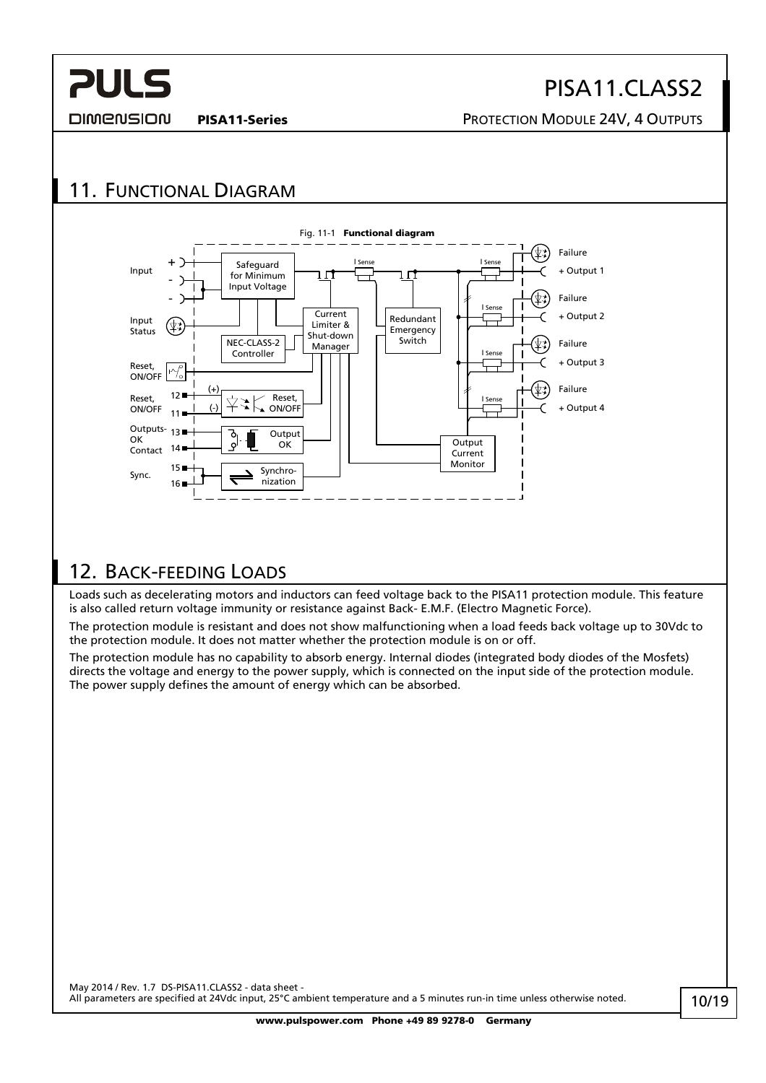## PISA11.CLASS2

<span id="page-9-0"></span>DIMENSION

#### PISA11-Series **PISA11-Series** PROTECTION MODULE 24V, 4 OUTPUTS

## 11. FUNCTIONAL DIAGRAM



### 12. BACK-FEEDING LOADS

Loads such as decelerating motors and inductors can feed voltage back to the PISA11 protection module. This feature is also called return voltage immunity or resistance against Back- E.M.F. (Electro Magnetic Force).

The protection module is resistant and does not show malfunctioning when a load feeds back voltage up to 30Vdc to the protection module. It does not matter whether the protection module is on or off.

The protection module has no capability to absorb energy. Internal diodes (integrated body diodes of the Mosfets) directs the voltage and energy to the power supply, which is connected on the input side of the protection module. The power supply defines the amount of energy which can be absorbed.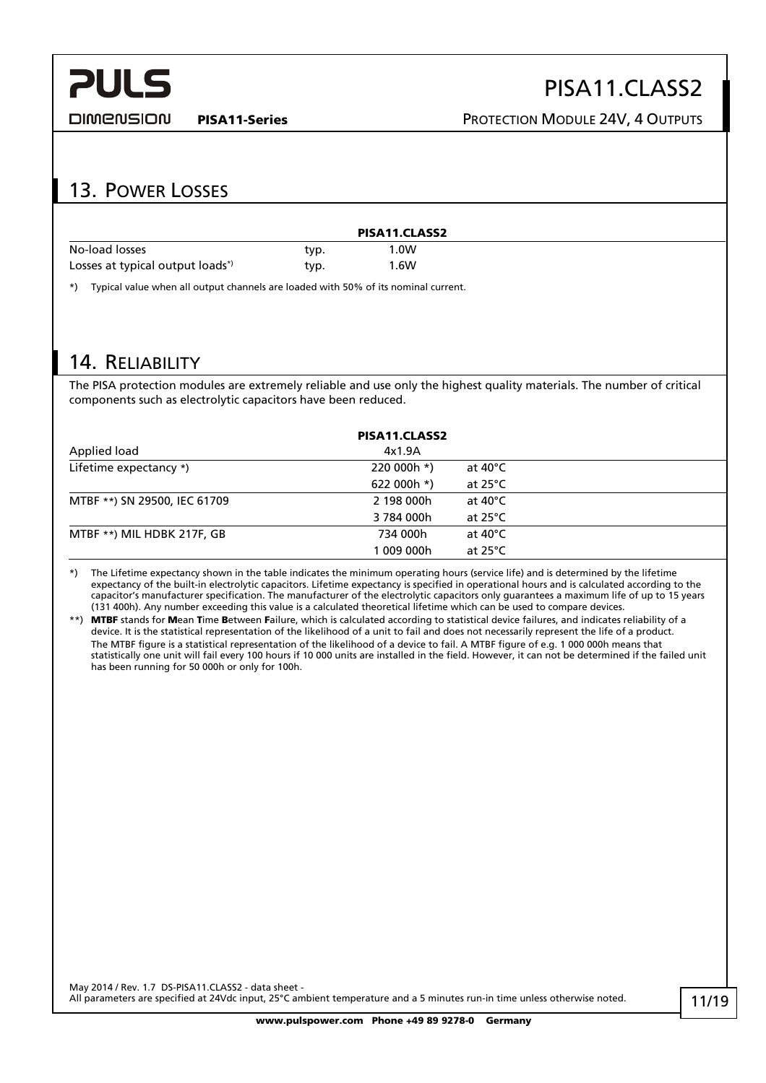<span id="page-10-0"></span>

#### DIMENSION

## PISA11.CLASS2

PISA11-Series **PISA11-Series** PROTECTION MODULE 24V, 4 OUTPUTS

## 13. POWER LOSSES

|                                              |      | PISA11.CLASS2 |  |
|----------------------------------------------|------|---------------|--|
| No-load losses                               | typ. | .0W           |  |
| Losses at typical output loads <sup>*)</sup> | typ. | 1.6W          |  |

\*) Typical value when all output channels are loaded with 50% of its nominal current.

### 14. RELIABILITY

The PISA protection modules are extremely reliable and use only the highest quality materials. The number of critical components such as electrolytic capacitors have been reduced.

| PISA11.CLASS2                |             |                    |  |  |
|------------------------------|-------------|--------------------|--|--|
| Applied load                 | 4x1.9A      |                    |  |  |
| Lifetime expectancy *)       | 220 000h *) | at 40°C            |  |  |
|                              | 622 000h *) | at 25 $^{\circ}$ C |  |  |
| MTBF **) SN 29500, IEC 61709 | 2 198 000h  | at 40 $^{\circ}$ C |  |  |
|                              | 3 784 000h  | at $25^{\circ}$ C  |  |  |
| MTBF **) MIL HDBK 217F, GB   | 734 000h    | at $40^{\circ}$ C  |  |  |
|                              | 1 009 000h  | at 25°C            |  |  |

\*) The Lifetime expectancy shown in the table indicates the minimum operating hours (service life) and is determined by the lifetime expectancy of the built-in electrolytic capacitors. Lifetime expectancy is specified in operational hours and is calculated according to the capacitor's manufacturer specification. The manufacturer of the electrolytic capacitors only guarantees a maximum life of up to 15 years (131 400h). Any number exceeding this value is a calculated theoretical lifetime which can be used to compare devices.

\*\*) MTBF stands for Mean Time Between Failure, which is calculated according to statistical device failures, and indicates reliability of a device. It is the statistical representation of the likelihood of a unit to fail and does not necessarily represent the life of a product. The MTBF figure is a statistical representation of the likelihood of a device to fail. A MTBF figure of e.g. 1 000 000h means that statistically one unit will fail every 100 hours if 10 000 units are installed in the field. However, it can not be determined if the failed unit has been running for 50 000h or only for 100h.

May 2014 / Rev. 1.7 DS-PISA11.CLASS2 - data sheet -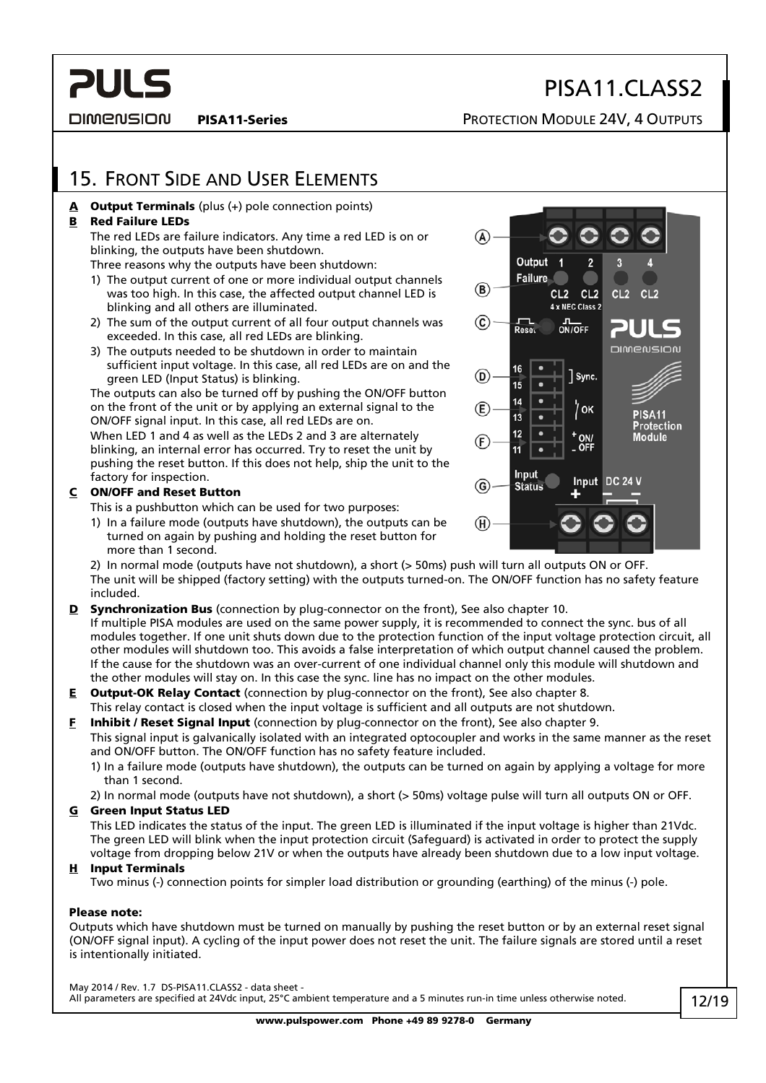<span id="page-11-0"></span>**DIMENSION** 

PISA11-Series **PISA11-Series** PROTECTION MODULE 24V, 4 OUTPUTS

PISA11.CLASS2

## 15. FRONT SIDE AND USER ELEMENTS

#### $\triangle$  Output Terminals (plus (+) pole connection points)

#### B Red Failure LEDs

 The red LEDs are failure indicators. Any time a red LED is on or blinking, the outputs have been shutdown.

Three reasons why the outputs have been shutdown:

- 1) The output current of one or more individual output channels was too high. In this case, the affected output channel LED is blinking and all others are illuminated.
- 2) The sum of the output current of all four output channels was exceeded. In this case, all red LEDs are blinking.
- 3) The outputs needed to be shutdown in order to maintain sufficient input voltage. In this case, all red LEDs are on and the green LED (Input Status) is blinking.

 The outputs can also be turned off by pushing the ON/OFF button on the front of the unit or by applying an external signal to the ON/OFF signal input. In this case, all red LEDs are on. When LED 1 and 4 as well as the LEDs 2 and 3 are alternately blinking, an internal error has occurred. Try to reset the unit by pushing the reset button. If this does not help, ship the unit to the factory for inspection.

#### C ON/OFF and Reset Button

This is a pushbutton which can be used for two purposes:

 1) In a failure mode (outputs have shutdown), the outputs can be turned on again by pushing and holding the reset button for more than 1 second.

 2) In normal mode (outputs have not shutdown), a short (> 50ms) push will turn all outputs ON or OFF. The unit will be shipped (factory setting) with the outputs turned-on. The ON/OFF function has no safety feature included.

- **D** Synchronization Bus (connection by plug-connector on the front), See also chapter [10.](#page-8-1) If multiple PISA modules are used on the same power supply, it is recommended to connect the sync. bus of all modules together. If one unit shuts down due to the protection function of the input voltage protection circuit, all other modules will shutdown too. This avoids a false interpretation of which output channel caused the problem. If the cause for the shutdown was an over-current of one individual channel only this module will shutdown and the other modules will stay on. In this case the sync. line has no impact on the other modules.
- **E** Output-OK Relay Contact (connection by plug-connector on the front), See also chapter [8](#page-8-2). This relay contact is closed when the input voltage is sufficient and all outputs are not shutdown.
- **F** Inhibit / Reset Signal Input (connection by plug-connector on the front), See also chapter [9](#page-8-3). This signal input is galvanically isolated with an integrated optocoupler and works in the same manner as the reset and ON/OFF button. The ON/OFF function has no safety feature included.
	- 1) In a failure mode (outputs have shutdown), the outputs can be turned on again by applying a voltage for more than 1 second.
	- 2) In normal mode (outputs have not shutdown), a short (> 50ms) voltage pulse will turn all outputs ON or OFF.

#### G Green Input Status LED

 This LED indicates the status of the input. The green LED is illuminated if the input voltage is higher than 21Vdc. The green LED will blink when the input protection circuit (Safeguard) is activated in order to protect the supply voltage from dropping below 21V or when the outputs have already been shutdown due to a low input voltage.

#### H Input Terminals

Two minus (-) connection points for simpler load distribution or grounding (earthing) of the minus (-) pole.

#### Please note:

Outputs which have shutdown must be turned on manually by pushing the reset button or by an external reset signal (ON/OFF signal input). A cycling of the input power does not reset the unit. The failure signals are stored until a reset is intentionally initiated.

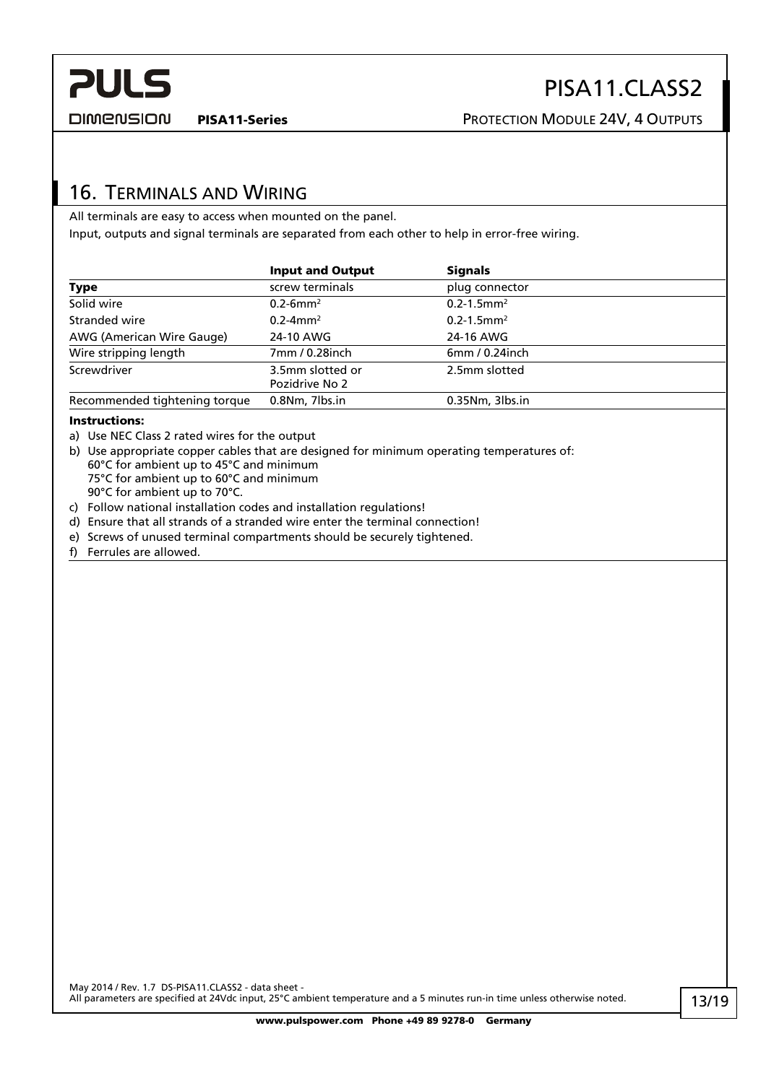<span id="page-12-0"></span>

DIMENSION

## 16. TERMINALS AND WIRING

All terminals are easy to access when mounted on the panel. Input, outputs and signal terminals are separated from each other to help in error-free wiring.

|                               | <b>Input and Output</b>            | <b>Signals</b>              |
|-------------------------------|------------------------------------|-----------------------------|
| <b>Type</b>                   | screw terminals                    | plug connector              |
| Solid wire                    | $0.2 - 6$ mm <sup>2</sup>          | $0.2 - 1.5$ mm <sup>2</sup> |
| Stranded wire                 | $0.2 - 4$ mm <sup>2</sup>          | $0.2 - 1.5$ mm <sup>2</sup> |
| AWG (American Wire Gauge)     | 24-10 AWG                          | 24-16 AWG                   |
| Wire stripping length         | 7mm / 0.28inch                     | $6mm/0.24$ inch             |
| Screwdriver                   | 3.5mm slotted or<br>Pozidrive No 2 | 2.5mm slotted               |
| Recommended tightening torque | 0.8Nm, 7lbs.in                     | 0.35Nm, 3lbs.in             |

#### Instructions:

- a) Use NEC Class 2 rated wires for the output
- b) Use appropriate copper cables that are designed for minimum operating temperatures of: 60°C for ambient up to 45°C and minimum 75°C for ambient up to 60°C and minimum 90°C for ambient up to 70°C.
- c) Follow national installation codes and installation regulations!
- d) Ensure that all strands of a stranded wire enter the terminal connection!
- e) Screws of unused terminal compartments should be securely tightened.
- f) Ferrules are allowed.

May 2014 / Rev. 1.7 DS-PISA11.CLASS2 - data sheet -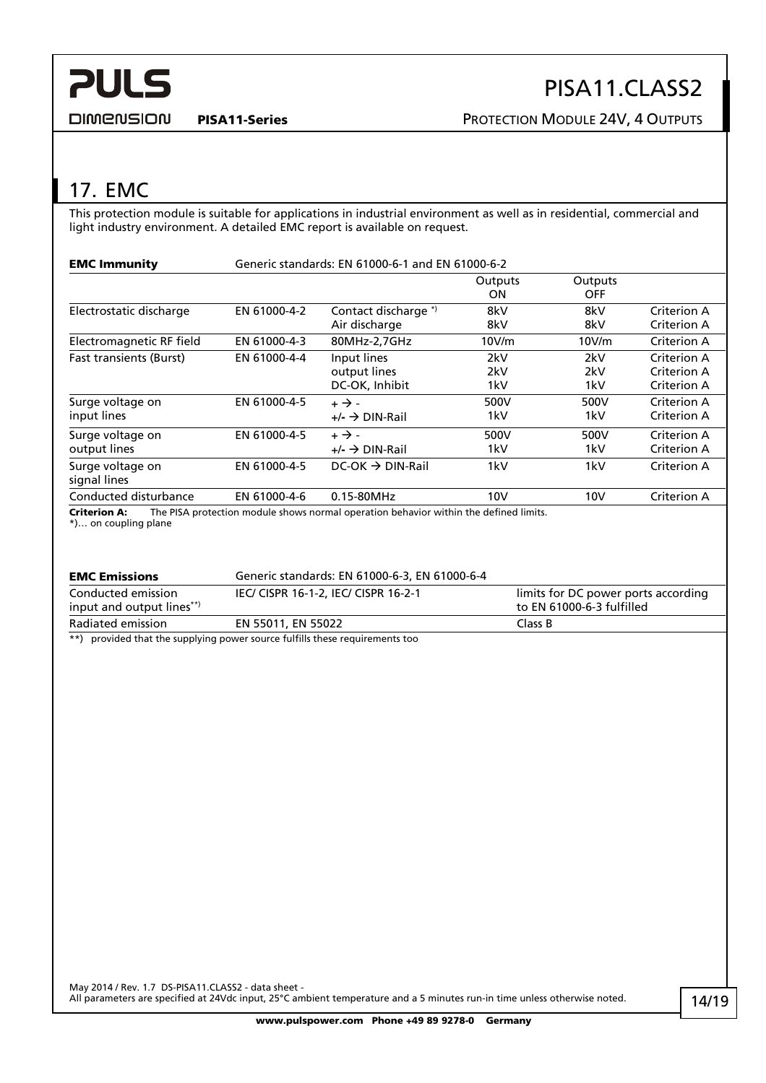<span id="page-13-0"></span>

**DIMENSION** 

PISA11-Series **PISA11-Series** PROTECTION MODULE 24V, 4 OUTPUTS

## 17. EMC

This protection module is suitable for applications in industrial environment as well as in residential, commercial and light industry environment. A detailed EMC report is available on request.

| <b>EMC Immunity</b>              | Generic standards: EN 61000-6-1 and EN 61000-6-2 |                                                                                      |                   |                       |                                           |
|----------------------------------|--------------------------------------------------|--------------------------------------------------------------------------------------|-------------------|-----------------------|-------------------------------------------|
|                                  |                                                  |                                                                                      | Outputs<br>ON     | Outputs<br><b>OFF</b> |                                           |
| Electrostatic discharge          | EN 61000-4-2                                     | Contact discharge *)<br>Air discharge                                                | 8kV<br>8kV        | 8kV<br>8kV            | Criterion A<br>Criterion A                |
| Electromagnetic RF field         | EN 61000-4-3                                     | 80MHz-2,7GHz                                                                         | 10V/m             | 10V/m                 | Criterion A                               |
| <b>Fast transients (Burst)</b>   | EN 61000-4-4                                     | Input lines<br>output lines<br>DC-OK, Inhibit                                        | 2kV<br>2kV<br>1kV | 2kV<br>2kV<br>1kV     | Criterion A<br>Criterion A<br>Criterion A |
| Surge voltage on<br>input lines  | EN 61000-4-5                                     | $+ \rightarrow -$<br>$+/ \rightarrow$ DIN-Rail                                       | 500V<br>1kV       | 500V<br>1kV           | Criterion A<br>Criterion A                |
| Surge voltage on<br>output lines | EN 61000-4-5                                     | $+ \rightarrow -$<br>$+/ \rightarrow$ DIN-Rail                                       | 500V<br>1kV       | 500V<br>1kV           | Criterion A<br>Criterion A                |
| Surge voltage on<br>signal lines | EN 61000-4-5                                     | $DC-OK \rightarrow DIN-Rail$                                                         | 1kV               | 1kV                   | Criterion A                               |
| Conducted disturbance            | EN 61000-4-6                                     | 0.15-80MHz                                                                           | 10V               | 10V                   | Criterion A                               |
| Critorian A.                     |                                                  | The PISA protection module shows normal operation behavior within the defined limits |                   |                       |                                           |

The PISA protection module shows normal operation behavior within the defined limits. **Criterion A:** The F<br>\*)... on coupling plane

| <b>EMC Emissions</b>                            | Generic standards: EN 61000-6-3, EN 61000-6-4 |                                                                  |
|-------------------------------------------------|-----------------------------------------------|------------------------------------------------------------------|
| Conducted emission<br>input and output lines**) | IEC/ CISPR 16-1-2, IEC/ CISPR 16-2-1          | limits for DC power ports according<br>to EN 61000-6-3 fulfilled |
| Radiated emission                               | EN 55011, EN 55022                            | Class B                                                          |
|                                                 |                                               |                                                                  |

\*\*) provided that the supplying power source fulfills these requirements too

May 2014 / Rev. 1.7 DS-PISA11.CLASS2 - data sheet -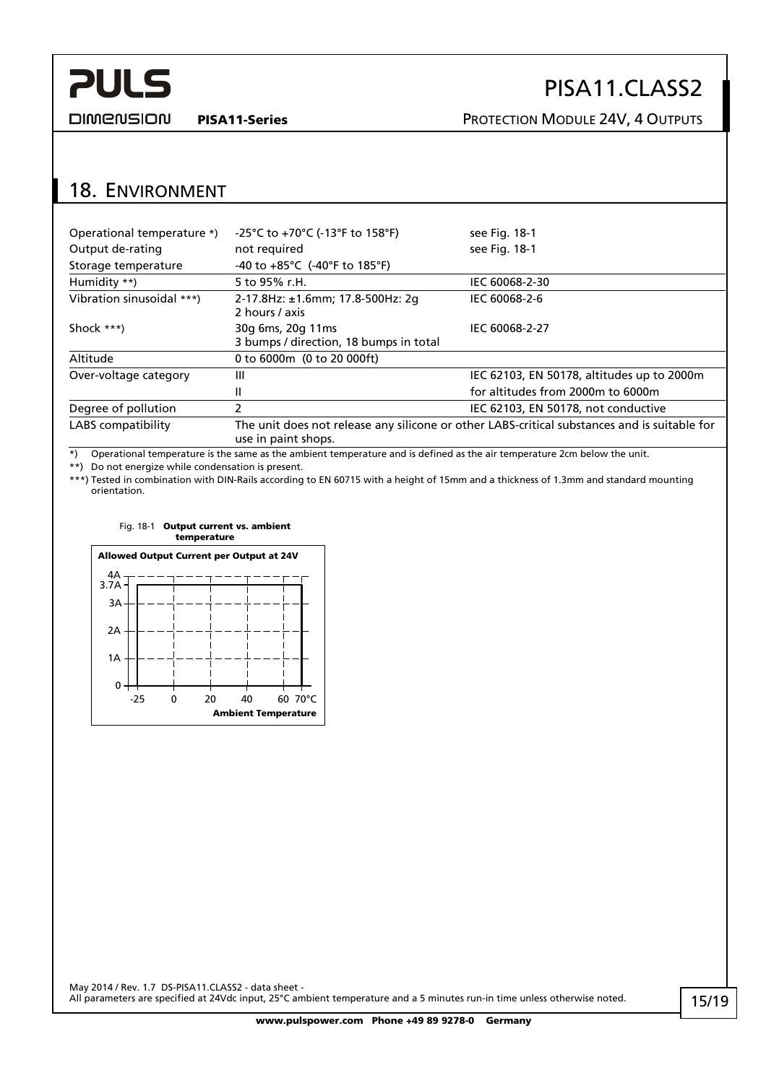## PISA11.CLASS2

<span id="page-14-0"></span>**DIMENSION** 

PISA11-Series **PISA11-Series** PROTECTION MODULE 24V, 4 OUTPUTS

## 18. ENVIRONMENT

| -25°C to +70°C (-13°F to 158°F)                                                                                     | see Fig. 18-1                              |  |
|---------------------------------------------------------------------------------------------------------------------|--------------------------------------------|--|
| not required                                                                                                        | see Fig. 18-1                              |  |
| $-40$ to $+85^{\circ}$ C ( $-40^{\circ}$ F to 185 $^{\circ}$ F)                                                     |                                            |  |
| 5 to 95% r.H.<br>IEC 60068-2-30                                                                                     |                                            |  |
| 2-17.8Hz: ±1.6mm; 17.8-500Hz: 2g<br>2 hours / axis                                                                  | IEC 60068-2-6                              |  |
| 30g 6ms, 20g 11ms<br>3 bumps / direction, 18 bumps in total                                                         | IEC 60068-2-27                             |  |
| 0 to 6000m (0 to 20 000ft)                                                                                          |                                            |  |
| Ш                                                                                                                   | IEC 62103, EN 50178, altitudes up to 2000m |  |
| Ш                                                                                                                   | for altitudes from 2000m to 6000m          |  |
| 2<br>IEC 62103, EN 50178, not conductive                                                                            |                                            |  |
| The unit does not release any silicone or other LABS-critical substances and is suitable for<br>use in paint shops. |                                            |  |
|                                                                                                                     |                                            |  |

\*) Operational temperature is the same as the ambient temperature and is defined as the air temperature 2cm below the unit.

\*\*) Do not energize while condensation is present.

<span id="page-14-1"></span>\*\*\*) Tested in combination with DIN-Rails according to EN 60715 with a height of 15mm and a thickness of 1.3mm and standard mounting orientation.

#### Fig. 18-1 Output current vs. ambient temperature

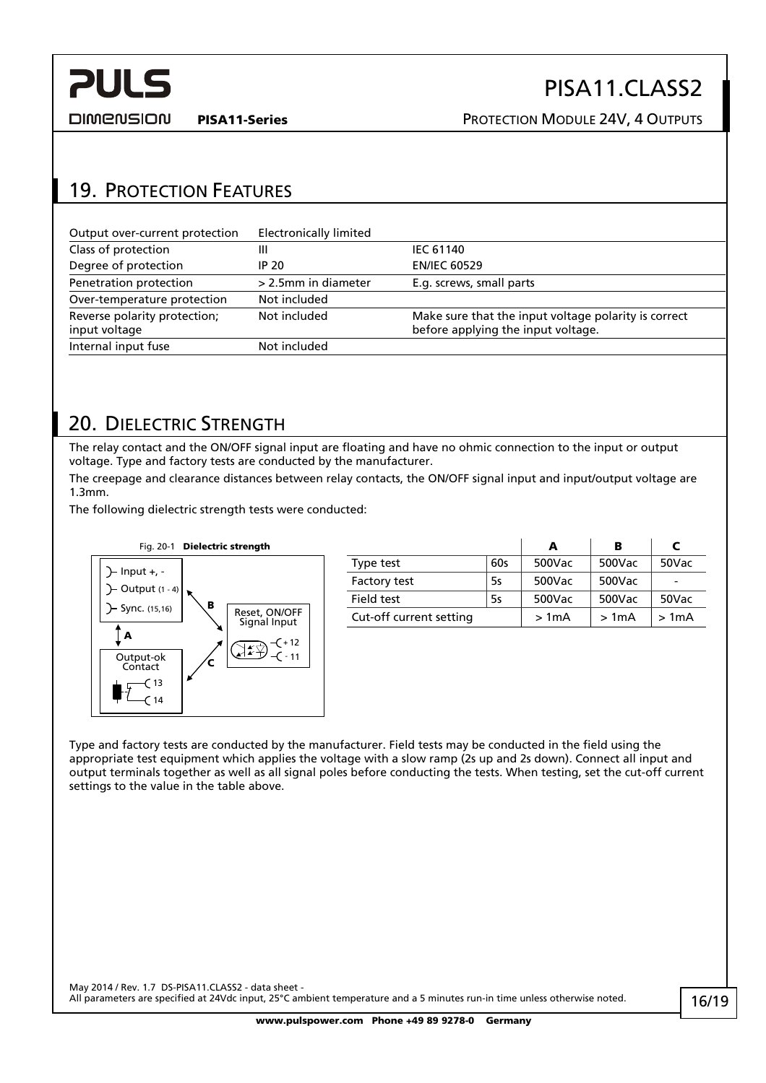<span id="page-15-0"></span>

DIMENSION

PISA11-Series **PISA11-Series** PROTECTION MODULE 24V, 4 OUTPUTS

## 19. PROTECTION FEATURES

| Output over-current protection                | Electronically limited |                                                                                            |
|-----------------------------------------------|------------------------|--------------------------------------------------------------------------------------------|
| Class of protection                           | Ш                      | <b>IEC 61140</b>                                                                           |
| Degree of protection                          | IP 20                  | <b>EN/IEC 60529</b>                                                                        |
| Penetration protection                        | > 2.5mm in diameter    | E.g. screws, small parts                                                                   |
| Over-temperature protection                   | Not included           |                                                                                            |
| Reverse polarity protection;<br>input voltage | Not included           | Make sure that the input voltage polarity is correct<br>before applying the input voltage. |
| Internal input fuse                           | Not included           |                                                                                            |

## 20. DIELECTRIC STRENGTH

 $(14)$ 

The relay contact and the ON/OFF signal input are floating and have no ohmic connection to the input or output voltage. Type and factory tests are conducted by the manufacturer.

The creepage and clearance distances between relay contacts, the ON/OFF signal input and input/output voltage are 1.3mm.

The following dielectric strength tests were conducted:



Type and factory tests are conducted by the manufacturer. Field tests may be conducted in the field using the appropriate test equipment which applies the voltage with a slow ramp (2s up and 2s down). Connect all input and output terminals together as well as all signal poles before conducting the tests. When testing, set the cut-off current settings to the value in the table above.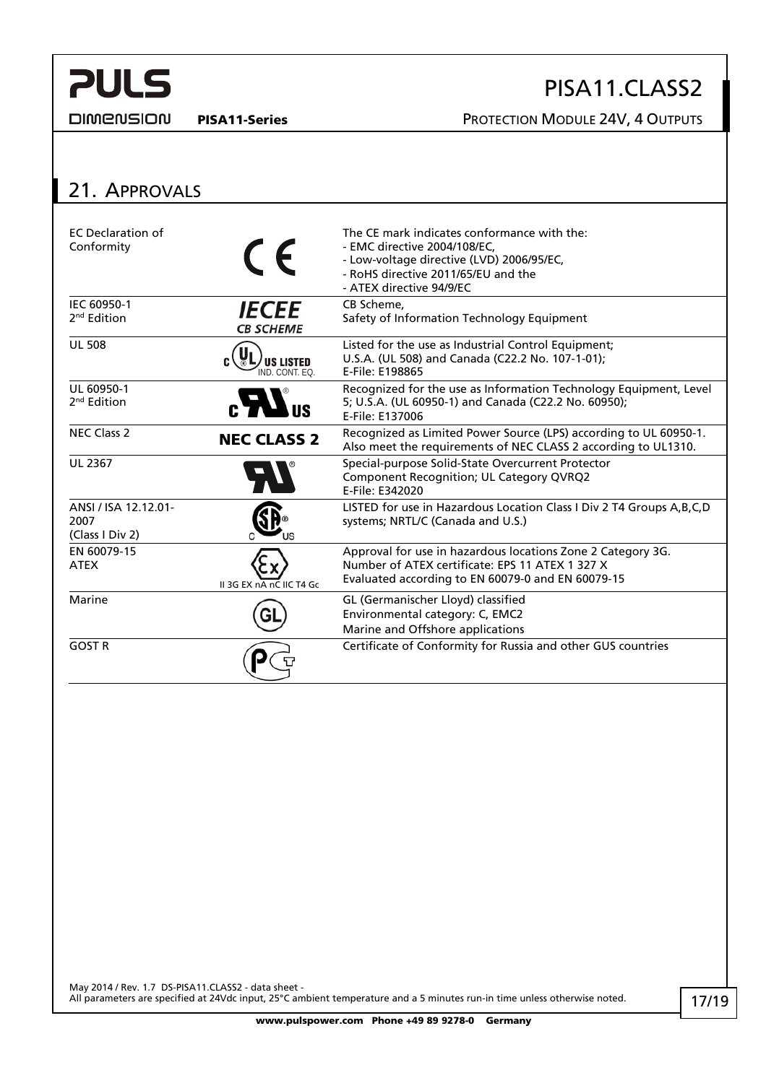#### <span id="page-16-0"></span>**DIMENSION**

## PISA11.CLASS2

PISA11-Series PROTECTION MODULE 24V, 4 OUTPUTS

## 21. APPROVALS

| <b>EC</b> Declaration of<br>Conformity          | $\epsilon$                              | The CE mark indicates conformance with the:<br>- EMC directive 2004/108/EC,<br>- Low-voltage directive (LVD) 2006/95/EC,<br>- RoHS directive 2011/65/EU and the<br>- ATEX directive 94/9/EC |
|-------------------------------------------------|-----------------------------------------|---------------------------------------------------------------------------------------------------------------------------------------------------------------------------------------------|
| IEC 60950-1<br>$2nd$ Edition                    | <i><b>IECEE</b></i><br><b>CB SCHEME</b> | CB Scheme.<br>Safety of Information Technology Equipment                                                                                                                                    |
| <b>UL 508</b>                                   | <b>US LISTED</b><br>IND. CONT. EO.      | Listed for the use as Industrial Control Equipment;<br>U.S.A. (UL 508) and Canada (C22.2 No. 107-1-01);<br>E-File: E198865                                                                  |
| UL 60950-1<br>2 <sup>nd</sup> Edition           |                                         | Recognized for the use as Information Technology Equipment, Level<br>5; U.S.A. (UL 60950-1) and Canada (C22.2 No. 60950);<br>E-File: E137006                                                |
| <b>NEC Class 2</b>                              | <b>NEC CLASS 2</b>                      | Recognized as Limited Power Source (LPS) according to UL 60950-1.<br>Also meet the requirements of NEC CLASS 2 according to UL1310.                                                         |
| <b>UL 2367</b>                                  |                                         | Special-purpose Solid-State Overcurrent Protector<br>Component Recognition; UL Category QVRQ2<br>E-File: E342020                                                                            |
| ANSI / ISA 12.12.01-<br>2007<br>(Class I Div 2) |                                         | LISTED for use in Hazardous Location Class I Div 2 T4 Groups A, B, C, D<br>systems; NRTL/C (Canada and U.S.)                                                                                |
| EN 60079-15<br><b>ATEX</b>                      | II 3G EX nA nC IIC T4 Gc                | Approval for use in hazardous locations Zone 2 Category 3G.<br>Number of ATEX certificate: EPS 11 ATEX 1 327 X<br>Evaluated according to EN 60079-0 and EN 60079-15                         |
| Marine                                          |                                         | GL (Germanischer Lloyd) classified<br>Environmental category: C, EMC2<br>Marine and Offshore applications                                                                                   |
| <b>GOST R</b>                                   |                                         | Certificate of Conformity for Russia and other GUS countries                                                                                                                                |

May 2014 / Rev. 1.7 DS-PISA11.CLASS2 - data sheet -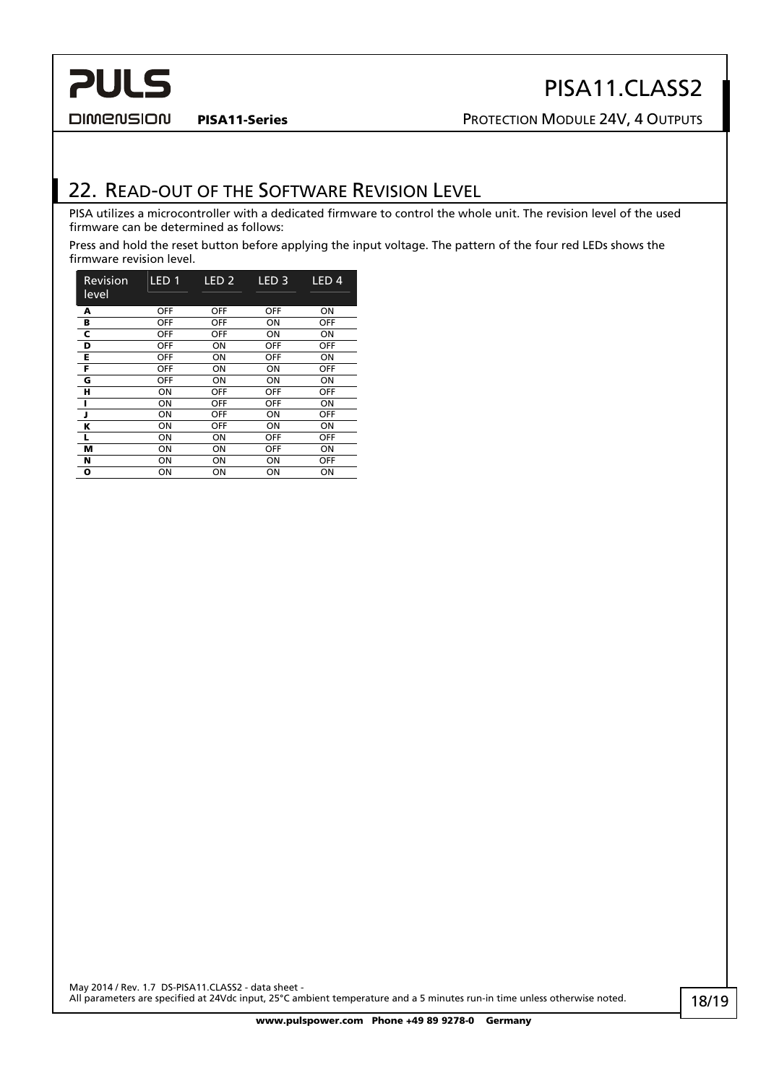#### <span id="page-17-0"></span>**DIMENSION**

## PISA11.CLASS2

PISA11-Series **PISA11-Series** PROTECTION MODULE 24V, 4 OUTPUTS

## 22. READ-OUT OF THE SOFTWARE REVISION LEVEL

PISA utilizes a microcontroller with a dedicated firmware to control the whole unit. The revision level of the used firmware can be determined as follows:

Press and hold the reset button before applying the input voltage. The pattern of the four red LEDs shows the firmware revision level.

| Revision<br>level | LED <sub>1</sub> | LED <sub>2</sub> | LED <sub>3</sub> | LED <sub>4</sub> |
|-------------------|------------------|------------------|------------------|------------------|
| A                 | <b>OFF</b>       | <b>OFF</b>       | <b>OFF</b>       | ON               |
| в                 | <b>OFF</b>       | <b>OFF</b>       | ON               | <b>OFF</b>       |
| c                 | OFF              | <b>OFF</b>       | ON               | ON               |
| D                 | OFF              | ON               | OFF              | <b>OFF</b>       |
| Е                 | OFF              | ΟN               | OFF              | ON               |
| F                 | OFF              | ΟN               | ON               | <b>OFF</b>       |
| G                 | OFF              | ΟN               | ON               | ON               |
| н                 | ON               | OFF              | OFF              | <b>OFF</b>       |
| п                 | ON               | OFF              | <b>OFF</b>       | ON               |
| J                 | ON               | OFF              | ON               | OFF              |
| Κ                 | ON               | <b>OFF</b>       | ON               | ON               |
| L                 | ON               | ΟN               | OFF              | <b>OFF</b>       |
| м                 | ON               | ΟN               | <b>OFF</b>       | ON               |
| N                 | ON               | ON               | ΟN               | <b>OFF</b>       |
| o                 | ON               | ON               | ON               | ON               |